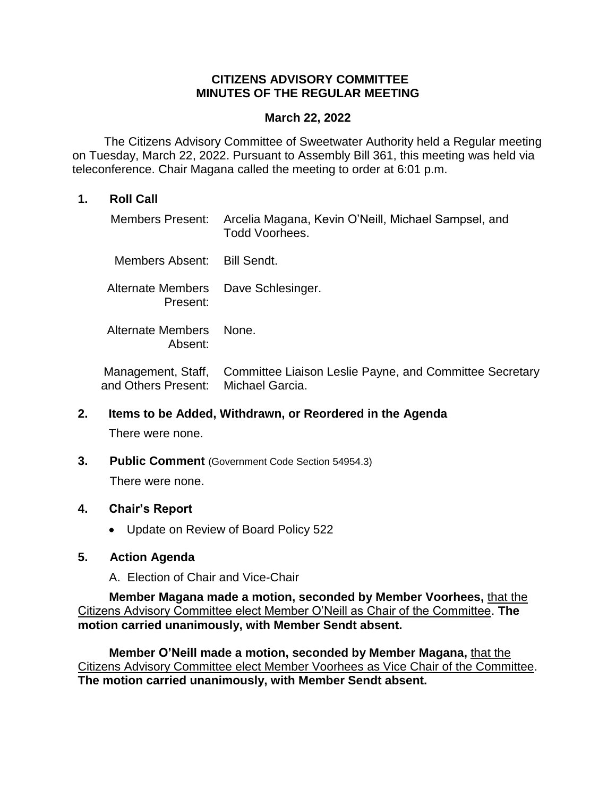# **CITIZENS ADVISORY COMMITTEE MINUTES OF THE REGULAR MEETING**

### **March 22, 2022**

The Citizens Advisory Committee of Sweetwater Authority held a Regular meeting on Tuesday, March 22, 2022. Pursuant to Assembly Bill 361, this meeting was held via teleconference. Chair Magana called the meeting to order at 6:01 p.m.

## **1. Roll Call**

|                                                 | Members Present: Arcelia Magana, Kevin O'Neill, Michael Sampsel, and<br>Todd Voorhees. |
|-------------------------------------------------|----------------------------------------------------------------------------------------|
| Members Absent: Bill Sendt.                     |                                                                                        |
| Alternate Members Dave Schlesinger.<br>Present: |                                                                                        |
| Alternate Members None.<br>Absent:              |                                                                                        |
|                                                 | Management, Staff, Committee Liaison Leslie Payne, and Committee Secretary             |

and Others Present: Michael Garcia.

#### **2. Items to be Added, Withdrawn, or Reordered in the Agenda**

There were none.

**3. Public Comment** (Government Code Section 54954.3) There were none.

# **4. Chair's Report**

• Update on Review of Board Policy 522

# **5. Action Agenda**

A. Election of Chair and Vice-Chair

**Member Magana made a motion, seconded by Member Voorhees,** that the Citizens Advisory Committee elect Member O'Neill as Chair of the Committee. **The motion carried unanimously, with Member Sendt absent.**

**Member O'Neill made a motion, seconded by Member Magana,** that the Citizens Advisory Committee elect Member Voorhees as Vice Chair of the Committee. **The motion carried unanimously, with Member Sendt absent.**